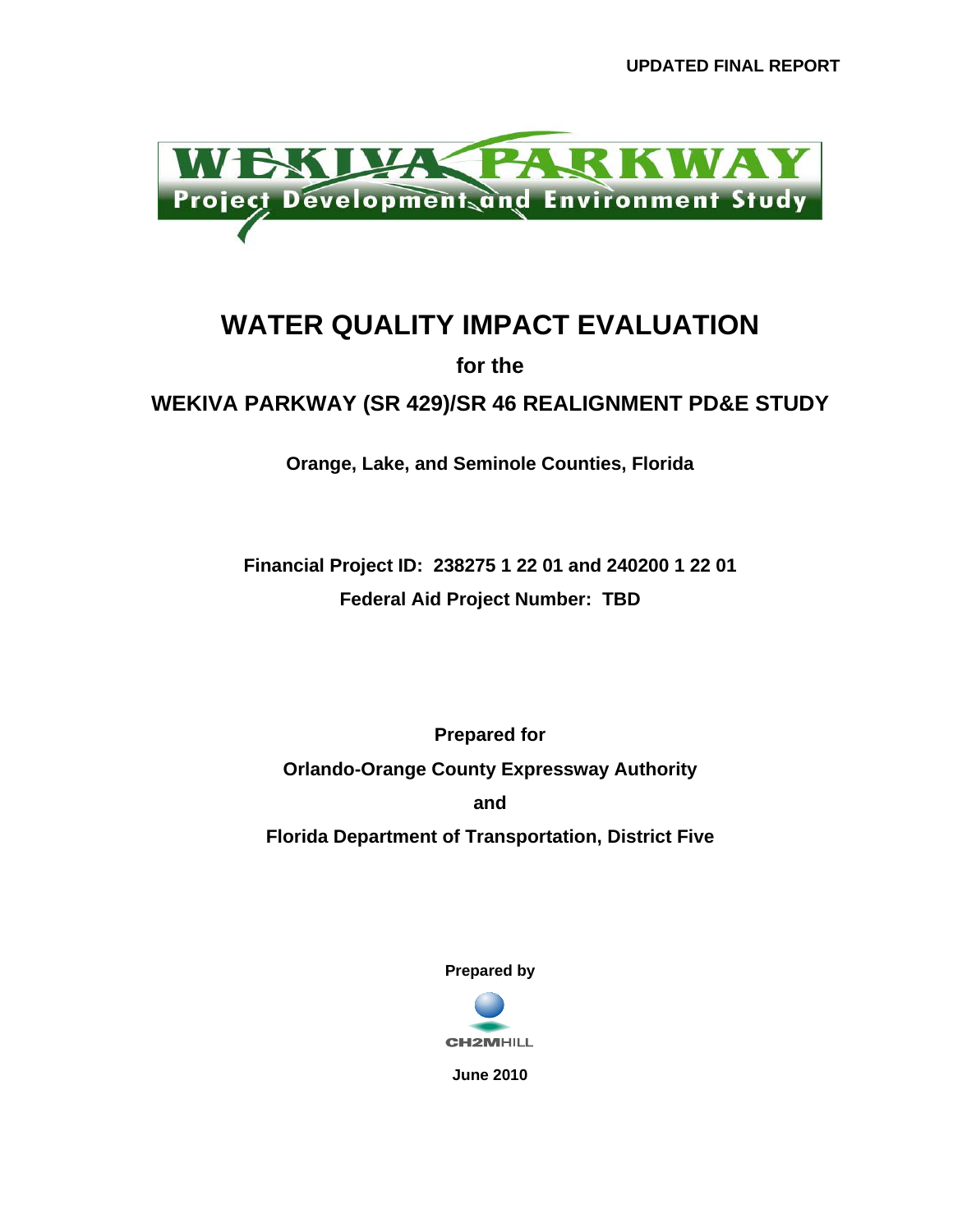

## **WATER QUALITY IMPACT EVALUATION**

**for the** 

**WEKIVA PARKWAY (SR 429)/SR 46 REALIGNMENT PD&E STUDY** 

**Orange, Lake, and Seminole Counties, Florida** 

**Financial Project ID: 238275 1 22 01 and 240200 1 22 01 Federal Aid Project Number: TBD** 

**Prepared for Orlando-Orange County Expressway Authority and Florida Department of Transportation, District Five** 

**Prepared by** 



**June 2010**